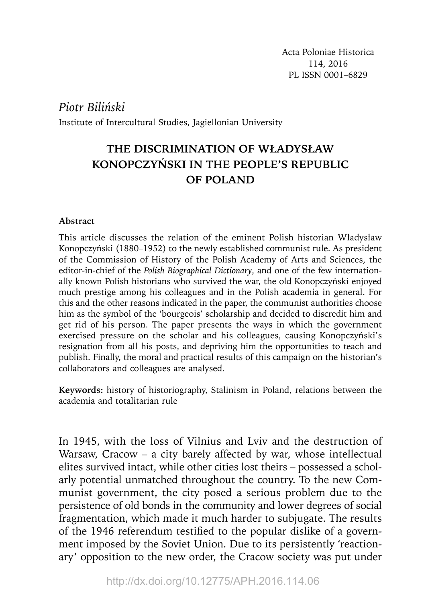Acta Poloniae Historica 114, 2016 PL ISSN 0001–6829

*Piotr Biliński*

Institute of Intercultural Studies, Jagiellonian University

## **THE DISCRIMINATION OF WŁADYSŁAW KONOPCZYŃSKI IN THE PEOPLE'S REPUBLIC OF POLAND**

## **Abstract**

This article discusses the relation of the eminent Polish historian Władysław Konopczyński (1880–1952) to the newly established communist rule. As president of the Commission of History of the Polish Academy of Arts and Sciences, the editor-in-chief of the *Polish Biographical Dictionary*, and one of the few internationally known Polish historians who survived the war, the old Konopczyński enjoyed much prestige among his colleagues and in the Polish academia in general. For this and the other reasons indicated in the paper, the communist authorities choose him as the symbol of the 'bourgeois' scholarship and decided to discredit him and get rid of his person. The paper presents the ways in which the government exercised pressure on the scholar and his colleagues, causing Konopczyński's resignation from all his posts, and depriving him the opportunities to teach and publish. Finally, the moral and practical results of this campaign on the historian's collaborators and colleagues are analysed.

**Keywords:** history of historiography, Stalinism in Poland, relations between the academia and totalitarian rule

In 1945, with the loss of Vilnius and Lviv and the destruction of Warsaw, Cracow – a city barely affected by war, whose intellectual elites survived intact, while other cities lost theirs – possessed a scholarly potential unmatched throughout the country. To the new Communist government, the city posed a serious problem due to the persistence of old bonds in the community and lower degrees of social fragmentation, which made it much harder to subjugate. The results of the 1946 referendum testified to the popular dislike of a government imposed by the Soviet Union. Due to its persistently 'reactionary' opposition to the new order, the Cracow society was put under

http://dx.doi.org/10.12775/APH.2016.114.06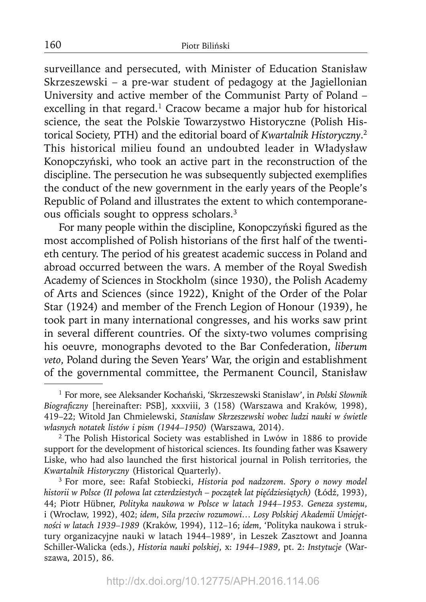surveillance and persecuted, with Minister of Education Stanisław Skrzeszewski – a pre-war student of pedagogy at the Jagiellonian University and active member of the Communist Party of Poland – excelling in that regard.<sup>1</sup> Cracow became a major hub for historical science, the seat the Polskie Towarzystwo Historyczne (Polish Historical Society, PTH) and the editorial board of *Kwartalnik Historyczny*. 2 This historical milieu found an undoubted leader in Władysław Konopczyński, who took an active part in the reconstruction of the discipline. The persecution he was subsequently subjected exemplifies the conduct of the new government in the early years of the People's Republic of Poland and illustrates the extent to which contemporaneous officials sought to oppress scholars.<sup>3</sup>

For many people within the discipline, Konopczyński figured as the most accomplished of Polish historians of the first half of the twentieth century. The period of his greatest academic success in Poland and abroad occurred between the wars. A member of the Royal Swedish Academy of Sciences in Stockholm (since 1930), the Polish Academy of Arts and Sciences (since 1922), Knight of the Order of the Polar Star (1924) and member of the French Legion of Honour (1939), he took part in many international congresses, and his works saw print in several different countries. Of the sixty-two volumes comprising his oeuvre, monographs devoted to the Bar Confederation, *liberum veto*, Poland during the Seven Years' War, the origin and establishment of the governmental committee, the Permanent Council, Stanisław

<sup>1</sup> For more, see Aleksander Kochański, 'Skrzeszewski Stanisław', in *Polski Słownik Biografi czny* [hereinafter: PSB], xxxviii, 3 (158) (Warszawa and Kraków, 1998), 419–22; Witold Jan Chmielewski, *Stanisław Skrzeszewski wobec ludzi nauki w świetle własnych notatek listów i pism (1944–1950)* (Warszawa, 2014).

<sup>2</sup> The Polish Historical Society was established in Lwów in 1886 to provide support for the development of historical sciences. Its founding father was Ksawery Liske, who had also launched the first historical journal in Polish territories, the *Kwartalnik Historyczny* (Historical Quarterly).

<sup>3</sup> For more, see: Rafał Stobiecki, *Historia pod nadzorem. Spory o nowy model historii w Polsce (II połowa lat czterdziestych – początek lat pięćdziesiątych)* (Łódź, 1993), 44; Piotr Hübner, *Polityka naukowa w Polsce w latach 1944–1953. Geneza systemu*, i (Wrocław, 1992), 402; *idem*, *Siła przeciw rozumowi… Losy Polskiej Akademii Umiejętności w latach 1939–1989* (Kraków, 1994), 112–16; *idem*, 'Polityka naukowa i struktury organizacyjne nauki w latach 1944–1989', in Leszek Zasztowt and Joanna Schiller-Walicka (eds.), *Historia nauki polskiej*, x: *1944–1989*, pt. 2: *Instytucje* (Warszawa, 2015), 86.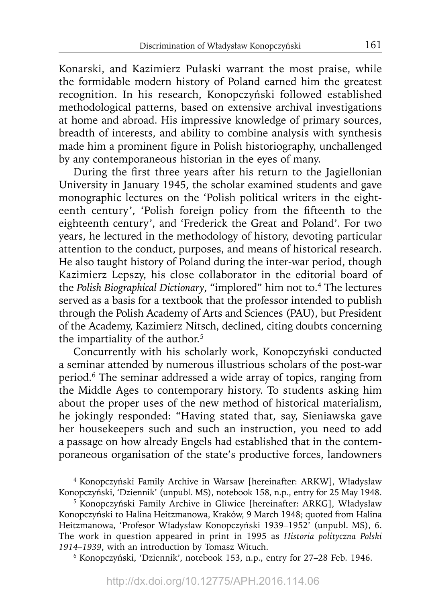Konarski, and Kazimierz Pułaski warrant the most praise, while the formidable modern history of Poland earned him the greatest recognition. In his research, Konopczyński followed established methodological patterns, based on extensive archival investigations at home and abroad. His impressive knowledge of primary sources, breadth of interests, and ability to combine analysis with synthesis made him a prominent figure in Polish historiography, unchallenged by any contemporaneous historian in the eyes of many.

During the first three years after his return to the Jagiellonian University in January 1945, the scholar examined students and gave monographic lectures on the 'Polish political writers in the eighteenth century', 'Polish foreign policy from the fifteenth to the eighteenth century', and 'Frederick the Great and Poland'. For two years, he lectured in the methodology of history, devoting particular attention to the conduct, purposes, and means of historical research. He also taught history of Poland during the inter-war period, though Kazimierz Lepszy, his close collaborator in the editorial board of the *Polish Biographical Dictionary*, "implored" him not to.4 The lectures served as a basis for a textbook that the professor intended to publish through the Polish Academy of Arts and Sciences (PAU), but President of the Academy, Kazimierz Nitsch, declined, citing doubts concerning the impartiality of the author.<sup>5</sup>

Concurrently with his scholarly work, Konopczyński conducted a seminar attended by numerous illustrious scholars of the post-war period.6 The seminar addressed a wide array of topics, ranging from the Middle Ages to contemporary history. To students asking him about the proper uses of the new method of historical materialism, he jokingly responded: "Having stated that, say, Sieniawska gave her housekeepers such and such an instruction, you need to add a passage on how already Engels had established that in the contemporaneous organisation of the state's productive forces, landowners

<sup>4</sup> Konopczyński Family Archive in Warsaw [hereinafter: ARKW], Władysław Konopczyński, 'Dziennik' (unpubl. MS), notebook 158, n.p., entry for 25 May 1948.

<sup>5</sup> Konopczyński Family Archive in Gliwice [hereinafter: ARKG], Władysław Konopczyński to Halina Heitzmanowa, Kraków, 9 March 1948; quoted from Halina Heitzmanowa, 'Profesor Władysław Konopczyński 1939–1952' (unpubl. MS), 6. The work in question appeared in print in 1995 as *Historia polityczna Polski 1914–1939*, with an introduction by Tomasz Wituch.

<sup>6</sup> Konopczyński, 'Dziennik', notebook 153, n.p., entry for 27–28 Feb. 1946.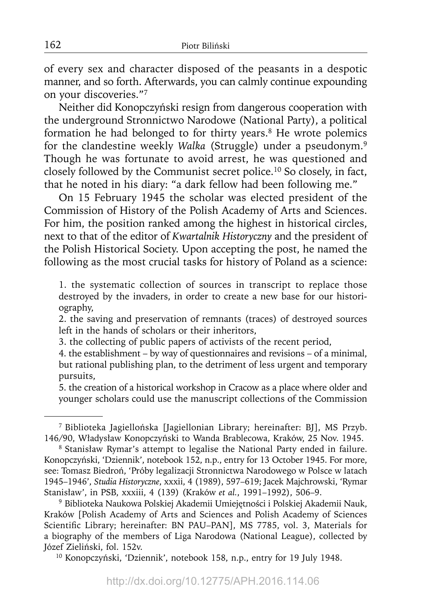of every sex and character disposed of the peasants in a despotic manner, and so forth. Afterwards, you can calmly continue expounding on your discoveries."7

Neither did Konopczyński resign from dangerous cooperation with the underground Stronnictwo Narodowe (National Party), a political formation he had belonged to for thirty years.8 He wrote polemics for the clandestine weekly *Walka* (Struggle) under a pseudonym.9 Though he was fortunate to avoid arrest, he was questioned and closely followed by the Communist secret police.10 So closely, in fact, that he noted in his diary: "a dark fellow had been following me."

On 15 February 1945 the scholar was elected president of the Commission of History of the Polish Academy of Arts and Sciences. For him, the position ranked among the highest in historical circles, next to that of the editor of *Kwartalnik Historyczny* and the president of the Polish Historical Society. Upon accepting the post, he named the following as the most crucial tasks for history of Poland as a science:

1. the systematic collection of sources in transcript to replace those destroyed by the invaders, in order to create a new base for our historiography,

2. the saving and preservation of remnants (traces) of destroyed sources left in the hands of scholars or their inheritors,

3. the collecting of public papers of activists of the recent period,

4. the establishment – by way of questionnaires and revisions – of a minimal, but rational publishing plan, to the detriment of less urgent and temporary pursuits,

5. the creation of a historical workshop in Cracow as a place where older and younger scholars could use the manuscript collections of the Commission

9 Biblioteka Naukowa Polskiej Akademii Umiejętności i Polskiej Akademii Nauk, Kraków [Polish Academy of Arts and Sciences and Polish Academy of Sciences Scientific Library; hereinafter: BN PAU-PAN], MS 7785, vol. 3, Materials for a biography of the members of Liga Narodowa (National League), collected by Józef Zieliński, fol. 152v.

10 Konopczyński, 'Dziennik', notebook 158, n.p., entry for 19 July 1948.

<sup>7</sup> Biblioteka Jagiellońska [Jagiellonian Library; hereinafter: BJ], MS Przyb. 146/90, Władysław Konopczyński to Wanda Brablecowa, Kraków, 25 Nov. 1945.

<sup>8</sup> Stanisław Rymar's attempt to legalise the National Party ended in failure. Konopczyński, 'Dziennik', notebook 152, n.p., entry for 13 October 1945. For more, see: Tomasz Biedroń, 'Próby legalizacji Stronnictwa Narodowego w Polsce w latach 1945–1946', *Studia Historyczne*, xxxii, 4 (1989), 597–619; Jacek Majchrowski, 'Rymar Stanisław', in PSB, xxxiii, 4 (139) (Kraków *et al.*, 1991–1992), 506–9.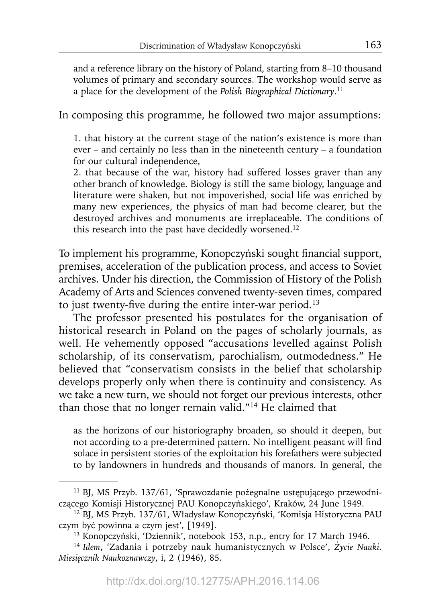and a reference library on the history of Poland, starting from 8–10 thousand volumes of primary and secondary sources. The workshop would serve as a place for the development of the *Polish Biographical Dictionary*. 11

In composing this programme, he followed two major assumptions:

1. that history at the current stage of the nation's existence is more than ever – and certainly no less than in the nineteenth century – a foundation for our cultural independence,

2. that because of the war, history had suffered losses graver than any other branch of knowledge. Biology is still the same biology, language and literature were shaken, but not impoverished, social life was enriched by many new experiences, the physics of man had become clearer, but the destroyed archives and monuments are irreplaceable. The conditions of this research into the past have decidedly worsened.<sup>12</sup>

To implement his programme, Konopczyński sought financial support, premises, acceleration of the publication process, and access to Soviet archives. Under his direction, the Commission of History of the Polish Academy of Arts and Sciences convened twenty-seven times, compared to just twenty-five during the entire inter-war period.<sup>13</sup>

The professor presented his postulates for the organisation of historical research in Poland on the pages of scholarly journals, as well. He vehemently opposed "accusations levelled against Polish scholarship, of its conservatism, parochialism, outmodedness." He believed that "conservatism consists in the belief that scholarship develops properly only when there is continuity and consistency. As we take a new turn, we should not forget our previous interests, other than those that no longer remain valid."14 He claimed that

as the horizons of our historiography broaden, so should it deepen, but not according to a pre-determined pattern. No intelligent peasant will find solace in persistent stories of the exploitation his forefathers were subjected to by landowners in hundreds and thousands of manors. In general, the

<sup>11</sup> BJ, MS Przyb. 137/61, 'Sprawozdanie pożegnalne ustępującego przewodniczącego Komisji Historycznej PAU Konopczyńskiego', Kraków, 24 June 1949.

<sup>12</sup> BJ, MS Przyb. 137/61, Władysław Konopczyński, 'Komisja Historyczna PAU czym być powinna a czym jest', [1949].

<sup>13</sup> Konopczyński, 'Dziennik', notebook 153, n.p., entry for 17 March 1946.

<sup>14</sup>*Idem*, 'Zadania i potrzeby nauk humanistycznych w Polsce', *Życie Nauki. Miesięcznik Naukoznawczy*, i, 2 (1946), 85.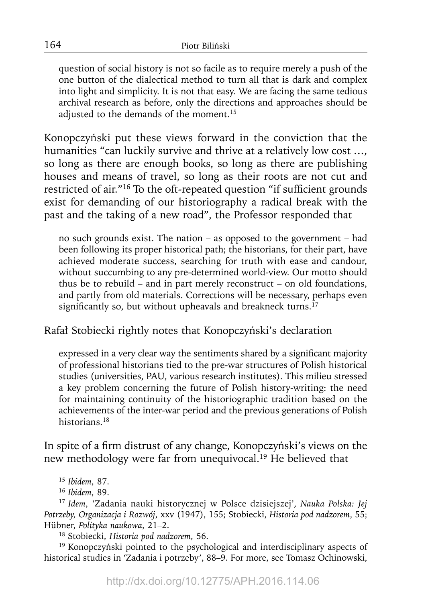question of social history is not so facile as to require merely a push of the one button of the dialectical method to turn all that is dark and complex into light and simplicity. It is not that easy. We are facing the same tedious archival research as before, only the directions and approaches should be adjusted to the demands of the moment.15

Konopczyński put these views forward in the conviction that the humanities "can luckily survive and thrive at a relatively low cost …, so long as there are enough books, so long as there are publishing houses and means of travel, so long as their roots are not cut and restricted of air."<sup>16</sup> To the oft-repeated question "if sufficient grounds exist for demanding of our historiography a radical break with the past and the taking of a new road", the Professor responded that

no such grounds exist. The nation – as opposed to the government – had been following its proper historical path; the historians, for their part, have achieved moderate success, searching for truth with ease and candour, without succumbing to any pre-determined world-view. Our motto should thus be to rebuild – and in part merely reconstruct – on old foundations, and partly from old materials. Corrections will be necessary, perhaps even significantly so, but without upheavals and breakneck turns.<sup>17</sup>

Rafał Stobiecki rightly notes that Konopczyński's declaration

expressed in a very clear way the sentiments shared by a significant majority of professional historians tied to the pre-war structures of Polish historical studies (universities, PAU, various research institutes). This milieu stressed a key problem concerning the future of Polish history-writing: the need for maintaining continuity of the historiographic tradition based on the achievements of the inter-war period and the previous generations of Polish historians.18

In spite of a firm distrust of any change, Konopczyński's views on the new methodology were far from unequivocal.19 He believed that

19 Konopczyński pointed to the psychological and interdisciplinary aspects of historical studies in 'Zadania i potrzeby', 88–9. For more, see Tomasz Ochinowski,

<sup>15</sup>*Ibidem*, 87.

<sup>16</sup>*Ibidem*, 89.

<sup>17</sup>*Idem*, 'Zadania nauki historycznej w Polsce dzisiejszej', *Nauka Polska: Jej Potrzeby, Organizacja i Rozwój*, xxv (1947), 155; Stobiecki, *Historia pod nadzorem*, 55; Hübner, *Polityka naukowa*, 21–2.

<sup>18</sup> Stobiecki, *Historia pod nadzorem*, 56.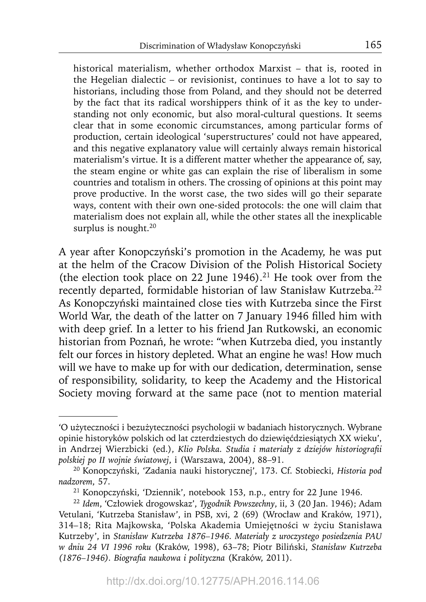historical materialism, whether orthodox Marxist – that is, rooted in the Hegelian dialectic – or revisionist, continues to have a lot to say to historians, including those from Poland, and they should not be deterred by the fact that its radical worshippers think of it as the key to understanding not only economic, but also moral-cultural questions. It seems clear that in some economic circumstances, among particular forms of production, certain ideological 'superstructures' could not have appeared, and this negative explanatory value will certainly always remain historical materialism's virtue. It is a different matter whether the appearance of, say, the steam engine or white gas can explain the rise of liberalism in some countries and totalism in others. The crossing of opinions at this point may prove productive. In the worst case, the two sides will go their separate ways, content with their own one-sided protocols: the one will claim that materialism does not explain all, while the other states all the inexplicable surplus is nought.<sup>20</sup>

A year after Konopczyński's promotion in the Academy, he was put at the helm of the Cracow Division of the Polish Historical Society (the election took place on 22 June 1946).<sup>21</sup> He took over from the recently departed, formidable historian of law Stanisław Kutrzeba.<sup>22</sup> As Konopczyński maintained close ties with Kutrzeba since the First World War, the death of the latter on 7 January 1946 filled him with with deep grief. In a letter to his friend Jan Rutkowski, an economic historian from Poznań, he wrote: "when Kutrzeba died, you instantly felt our forces in history depleted. What an engine he was! How much will we have to make up for with our dedication, determination, sense of responsibility, solidarity, to keep the Academy and the Historical Society moving forward at the same pace (not to mention material

<sup>&#</sup>x27;O użyteczności i bezużyteczności psychologii w badaniach historycznych. Wybrane opinie historyków polskich od lat czterdziestych do dziewięćdziesiątych XX wieku', in Andrzej Wierzbicki (ed.), *Klio Polska. Studia i materiały z dziejów historiografi i polskiej po II wojnie światowej*, i (Warszawa, 2004), 88–91.

<sup>20</sup> Konopczyński, 'Zadania nauki historycznej', 173. Cf. Stobiecki, *Historia pod nadzorem*, 57.

<sup>21</sup> Konopczyński, 'Dziennik', notebook 153, n.p., entry for 22 June 1946.

<sup>22</sup>*Idem*, 'Człowiek drogowskaz', *Tygodnik Powszechny*, ii, 3 (20 Jan. 1946); Adam Vetulani, 'Kutrzeba Stanisław', in PSB, xvi, 2 (69) (Wrocław and Kraków, 1971), 314–18; Rita Majkowska, 'Polska Akademia Umiejętności w życiu Stanisława Kutrzeby', in *Stanisław Kutrzeba 1876–1946. Materiały z uroczystego posiedzenia PAU w dniu 24 VI 1996 roku* (Kraków, 1998), 63–78; Piotr Biliński, *Stanisław Kutrzeba (1876–1946). Biografi a naukowa i polityczna* (Kraków, 2011).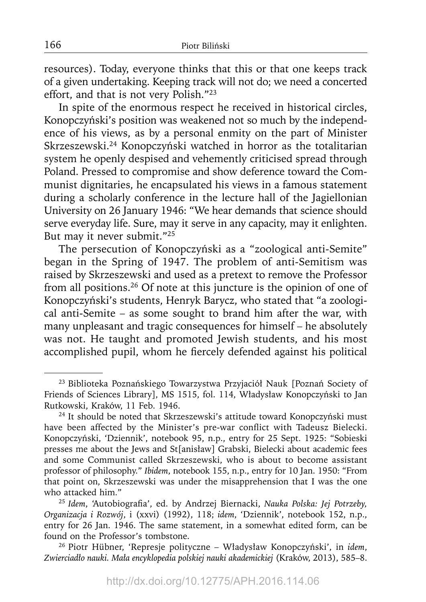resources). Today, everyone thinks that this or that one keeps track of a given undertaking. Keeping track will not do; we need a concerted effort, and that is not very Polish."23

In spite of the enormous respect he received in historical circles, Konopczyński's position was weakened not so much by the independence of his views, as by a personal enmity on the part of Minister Skrzeszewski.24 Konopczyński watched in horror as the totalitarian system he openly despised and vehemently criticised spread through Poland. Pressed to compromise and show deference toward the Communist dignitaries, he encapsulated his views in a famous statement during a scholarly conference in the lecture hall of the Jagiellonian University on 26 January 1946: "We hear demands that science should serve everyday life. Sure, may it serve in any capacity, may it enlighten. But may it never submit."25

The persecution of Konopczyński as a "zoological anti-Semite" began in the Spring of 1947. The problem of anti-Semitism was raised by Skrzeszewski and used as a pretext to remove the Professor from all positions.26 Of note at this juncture is the opinion of one of Konopczyński's students, Henryk Barycz, who stated that "a zoological anti-Semite – as some sought to brand him after the war, with many unpleasant and tragic consequences for himself – he absolutely was not. He taught and promoted Jewish students, and his most accomplished pupil, whom he fiercely defended against his political

<sup>23</sup> Biblioteka Poznańskiego Towarzystwa Przyjaciół Nauk [Poznań Society of Friends of Sciences Library], MS 1515, fol. 114, Władysław Konopczyński to Jan Rutkowski, Kraków, 11 Feb. 1946.

<sup>24</sup> It should be noted that Skrzeszewski's attitude toward Konopczyński must have been affected by the Minister's pre-war conflict with Tadeusz Bielecki. Konopczyński, 'Dziennik', notebook 95, n.p., entry for 25 Sept. 1925: "Sobieski presses me about the Jews and St[anisław] Grabski, Bielecki about academic fees and some Communist called Skrzeszewski, who is about to become assistant professor of philosophy." *Ibidem*, notebook 155, n.p., entry for 10 Jan. 1950: "From that point on, Skrzeszewski was under the misapprehension that I was the one who attacked him."

<sup>&</sup>lt;sup>25</sup> Idem, 'Autobiografia', ed. by Andrzej Biernacki, *Nauka Polska: Jej Potrzeby*, *Organizacja i Rozwój*, i (xxvi) (1992), 118; *idem*, 'Dziennik', notebook 152, n.p., entry for 26 Jan. 1946. The same statement, in a somewhat edited form, can be found on the Professor's tombstone.

<sup>26</sup> Piotr Hübner, 'Represje polityczne – Władysław Konopczyński', in *idem*, *Zwierciadło nauki. Mała encyklopedia polskiej nauki akademickiej* (Kraków, 2013), 585–8.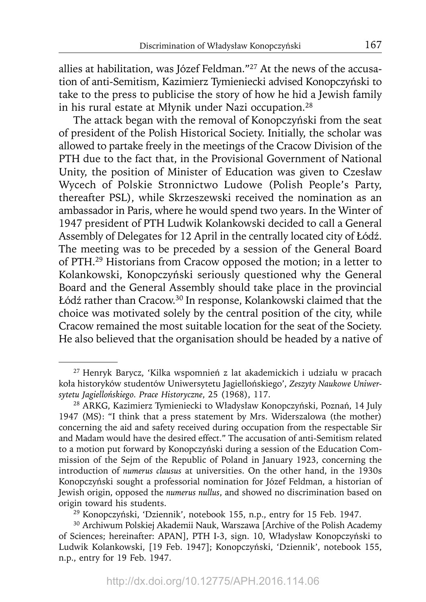allies at habilitation, was Józef Feldman."27 At the news of the accusation of anti-Semitism, Kazimierz Tymieniecki advised Konopczyński to take to the press to publicise the story of how he hid a Jewish family in his rural estate at Młynik under Nazi occupation.28

The attack began with the removal of Konopczyński from the seat of president of the Polish Historical Society. Initially, the scholar was allowed to partake freely in the meetings of the Cracow Division of the PTH due to the fact that, in the Provisional Government of National Unity, the position of Minister of Education was given to Czesław Wycech of Polskie Stronnictwo Ludowe (Polish People's Party, thereafter PSL), while Skrzeszewski received the nomination as an ambassador in Paris, where he would spend two years. In the Winter of 1947 president of PTH Ludwik Kolankowski decided to call a General Assembly of Delegates for 12 April in the centrally located city of Łódź. The meeting was to be preceded by a session of the General Board of PTH.29 Historians from Cracow opposed the motion; in a letter to Kolankowski, Konopczyński seriously questioned why the General Board and the General Assembly should take place in the provincial Łódź rather than Cracow.30 In response, Kolankowski claimed that the choice was motivated solely by the central position of the city, while Cracow remained the most suitable location for the seat of the Society. He also believed that the organisation should be headed by a native of

<sup>27</sup> Henryk Barycz, 'Kilka wspomnień z lat akademickich i udziału w pracach koła historyków studentów Uniwersytetu Jagiellońskiego', *Zeszyty Naukowe Uniwersytetu Jagiellońskiego. Prace Historyczne*, 25 (1968), 117.

<sup>28</sup> ARKG, Kazimierz Tymieniecki to Władysław Konopczyński, Poznań, 14 July 1947 (MS): "I think that a press statement by Mrs. Widerszalowa (the mother) concerning the aid and safety received during occupation from the respectable Sir and Madam would have the desired effect." The accusation of anti-Semitism related to a motion put forward by Konopczyński during a session of the Education Commission of the Sejm of the Republic of Poland in January 1923, concerning the introduction of *numerus clausus* at universities. On the other hand, in the 1930s Konopczyński sought a professorial nomination for Józef Feldman, a historian of Jewish origin, opposed the *numerus nullus*, and showed no discrimination based on origin toward his students.

<sup>29</sup> Konopczyński, 'Dziennik', notebook 155, n.p., entry for 15 Feb. 1947.

<sup>30</sup> Archiwum Polskiej Akademii Nauk, Warszawa [Archive of the Polish Academy of Sciences; hereinafter: APAN], PTH I-3, sign. 10, Władysław Konopczyński to Ludwik Kolankowski, [19 Feb. 1947]; Konopczyński, 'Dziennik', notebook 155, n.p., entry for 19 Feb. 1947.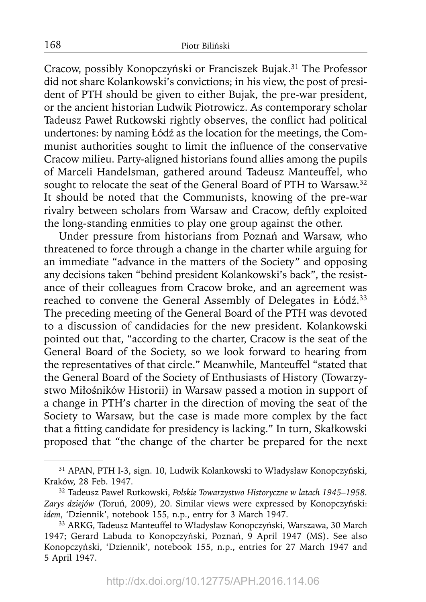Cracow, possibly Konopczyński or Franciszek Bujak.<sup>31</sup> The Professor did not share Kolankowski's convictions; in his view, the post of president of PTH should be given to either Bujak, the pre-war president, or the ancient historian Ludwik Piotrowicz. As contemporary scholar Tadeusz Paweł Rutkowski rightly observes, the conflict had political undertones: by naming Łódź as the location for the meetings, the Communist authorities sought to limit the influence of the conservative Cracow milieu. Party-aligned historians found allies among the pupils of Marceli Handelsman, gathered around Tadeusz Manteuffel, who sought to relocate the seat of the General Board of PTH to Warsaw.<sup>32</sup> It should be noted that the Communists, knowing of the pre-war rivalry between scholars from Warsaw and Cracow, deftly exploited the long-standing enmities to play one group against the other.

Under pressure from historians from Poznań and Warsaw, who threatened to force through a change in the charter while arguing for an immediate "advance in the matters of the Society" and opposing any decisions taken "behind president Kolankowski's back", the resistance of their colleagues from Cracow broke, and an agreement was reached to convene the General Assembly of Delegates in Łódź. 33 The preceding meeting of the General Board of the PTH was devoted to a discussion of candidacies for the new president. Kolankowski pointed out that, "according to the charter, Cracow is the seat of the General Board of the Society, so we look forward to hearing from the representatives of that circle." Meanwhile, Manteuffel "stated that the General Board of the Society of Enthusiasts of History (Towarzystwo Miłośników Historii) in Warsaw passed a motion in support of a change in PTH's charter in the direction of moving the seat of the Society to Warsaw, but the case is made more complex by the fact that a fitting candidate for presidency is lacking." In turn, Skałkowski proposed that "the change of the charter be prepared for the next

<sup>31</sup> APAN, PTH I-3, sign. 10, Ludwik Kolankowski to Władysław Konopczyński, Kraków, 28 Feb. 1947.

<sup>32</sup> Tadeusz Paweł Rutkowski, *Polskie Towarzystwo Historyczne w latach 1945–1958. Zarys dziejów* (Toruń, 2009), 20. Similar views were expressed by Konopczyński: *idem*, 'Dziennik', notebook 155, n.p., entry for 3 March 1947.

<sup>33</sup> ARKG, Tadeusz Manteuffel to Władysław Konopczyński, Warszawa, 30 March 1947; Gerard Labuda to Konopczyński, Poznań, 9 April 1947 (MS). See also Konopczyński, 'Dziennik', notebook 155, n.p., entries for 27 March 1947 and 5 April 1947.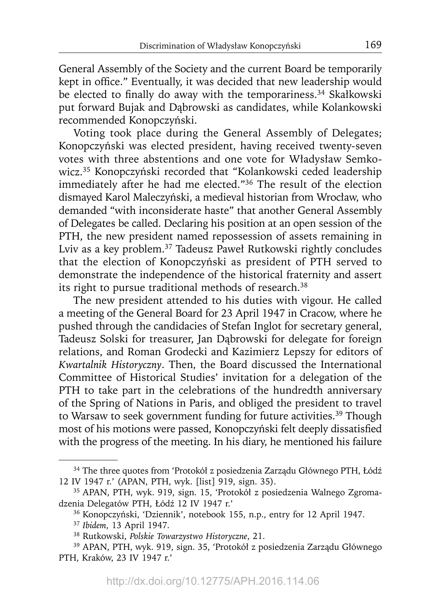General Assembly of the Society and the current Board be temporarily kept in office." Eventually, it was decided that new leadership would be elected to finally do away with the temporariness.<sup>34</sup> Skałkowski put forward Bujak and Dąbrowski as candidates, while Kolankowski recommended Konopczyński.

Voting took place during the General Assembly of Delegates; Konopczyński was elected president, having received twenty-seven votes with three abstentions and one vote for Władysław Semkowicz.35 Konopczyński recorded that "Kolankowski ceded leadership immediately after he had me elected."36 The result of the election dismayed Karol Maleczyński, a medieval historian from Wrocław, who demanded "with inconsiderate haste" that another General Assembly of Delegates be called. Declaring his position at an open session of the PTH, the new president named repossession of assets remaining in Lviv as a key problem.37 Tadeusz Paweł Rutkowski rightly concludes that the election of Konopczyński as president of PTH served to demonstrate the independence of the historical fraternity and assert its right to pursue traditional methods of research.<sup>38</sup>

The new president attended to his duties with vigour. He called a meeting of the General Board for 23 April 1947 in Cracow, where he pushed through the candidacies of Stefan Inglot for secretary general, Tadeusz Solski for treasurer, Jan Dąbrowski for delegate for foreign relations, and Roman Grodecki and Kazimierz Lepszy for editors of *Kwartalnik Historyczny*. Then, the Board discussed the International Committee of Historical Studies' invitation for a delegation of the PTH to take part in the celebrations of the hundredth anniversary of the Spring of Nations in Paris, and obliged the president to travel to Warsaw to seek government funding for future activities.<sup>39</sup> Though most of his motions were passed, Konopczyński felt deeply dissatisfied with the progress of the meeting. In his diary, he mentioned his failure

<sup>34</sup> The three quotes from 'Protokół z posiedzenia Zarządu Głównego PTH, Łódź 12 IV 1947 r.' (APAN, PTH, wyk. [list] 919, sign. 35).

<sup>35</sup> APAN, PTH, wyk. 919, sign. 15, 'Protokół z posiedzenia Walnego Zgromadzenia Delegatów PTH, Łódź 12 IV 1947 r.'

<sup>36</sup> Konopczyński, 'Dziennik', notebook 155, n.p., entry for 12 April 1947.

<sup>37</sup>*Ibidem*, 13 April 1947.

<sup>38</sup> Rutkowski, *Polskie Towarzystwo Historyczne*, 21.

<sup>39</sup> APAN, PTH, wyk. 919, sign. 35, 'Protokół z posiedzenia Zarządu Głównego PTH, Kraków, 23 IV 1947 r.'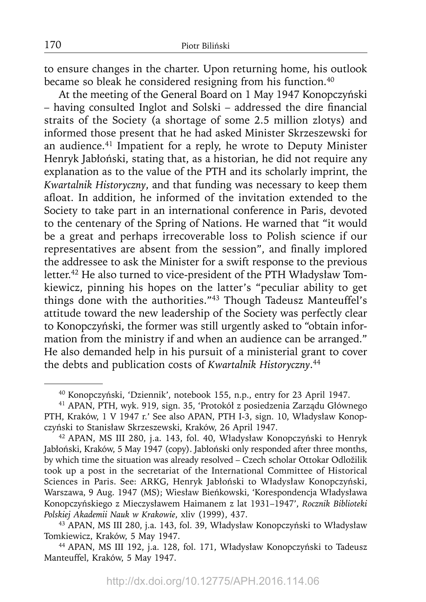to ensure changes in the charter. Upon returning home, his outlook became so bleak he considered resigning from his function.<sup>40</sup>

At the meeting of the General Board on 1 May 1947 Konopczyński – having consulted Inglot and Solski – addressed the dire financial straits of the Society (a shortage of some 2.5 million zlotys) and informed those present that he had asked Minister Skrzeszewski for an audience.41 Impatient for a reply, he wrote to Deputy Minister Henryk Jabłoński, stating that, as a historian, he did not require any explanation as to the value of the PTH and its scholarly imprint, the *Kwartalnik Historyczny*, and that funding was necessary to keep them afloat. In addition, he informed of the invitation extended to the Society to take part in an international conference in Paris, devoted to the centenary of the Spring of Nations. He warned that "it would be a great and perhaps irrecoverable loss to Polish science if our representatives are absent from the session", and finally implored the addressee to ask the Minister for a swift response to the previous letter.<sup>42</sup> He also turned to vice-president of the PTH Władysław Tomkiewicz, pinning his hopes on the latter's "peculiar ability to get things done with the authorities."43 Though Tadeusz Manteuffel's attitude toward the new leadership of the Society was perfectly clear to Konopczyński, the former was still urgently asked to "obtain information from the ministry if and when an audience can be arranged." He also demanded help in his pursuit of a ministerial grant to cover the debts and publication costs of *Kwartalnik Historyczny*. 44

<sup>40</sup> Konopczyński, 'Dziennik', notebook 155, n.p., entry for 23 April 1947.

<sup>41</sup> APAN, PTH, wyk. 919, sign. 35, 'Protokół z posiedzenia Zarządu Głównego PTH, Kraków, 1 V 1947 r.' See also APAN, PTH I-3, sign. 10, Władysław Konopczyński to Stanisław Skrzeszewski, Kraków, 26 April 1947.

<sup>42</sup> APAN, MS III 280, j.a. 143, fol. 40, Władysław Konopczyński to Henryk Jabłoński, Kraków, 5 May 1947 (copy). Jabłoński only responded after three months, by which time the situation was already resolved – Czech scholar Ottokar Odložilik took up a post in the secretariat of the International Committee of Historical Sciences in Paris. See: ARKG, Henryk Jabłoński to Władysław Konopczyński, Warszawa, 9 Aug. 1947 (MS); Wiesław Bieńkowski, 'Korespondencja Władysława Konopczyńskiego z Mieczysławem Haimanem z lat 1931–1947', *Rocznik Biblioteki Polskiej Akademii Nauk w Krakowie*, xliv (1999), 437.

<sup>43</sup> APAN, MS III 280, j.a. 143, fol. 39, Władysław Konopczyński to Władysław Tomkiewicz, Kraków, 5 May 1947.

<sup>44</sup> APAN, MS III 192, j.a. 128, fol. 171, Władysław Konopczyński to Tadeusz Manteuffel, Kraków, 5 May 1947.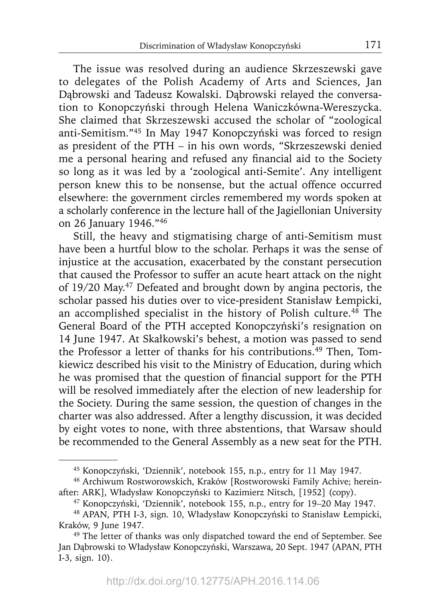The issue was resolved during an audience Skrzeszewski gave to delegates of the Polish Academy of Arts and Sciences, Jan Dąbrowski and Tadeusz Kowalski. Dąbrowski relayed the conversation to Konopczyński through Helena Waniczkówna-Wereszycka. She claimed that Skrzeszewski accused the scholar of "zoological anti-Semitism."45 In May 1947 Konopczyński was forced to resign as president of the PTH – in his own words, "Skrzeszewski denied me a personal hearing and refused any financial aid to the Society so long as it was led by a 'zoological anti-Semite'. Any intelligent person knew this to be nonsense, but the actual offence occurred elsewhere: the government circles remembered my words spoken at a scholarly conference in the lecture hall of the Jagiellonian University on 26 January 1946."46

Still, the heavy and stigmatising charge of anti-Semitism must have been a hurtful blow to the scholar. Perhaps it was the sense of injustice at the accusation, exacerbated by the constant persecution that caused the Professor to suffer an acute heart attack on the night of 19/20 May.47 Defeated and brought down by angina pectoris, the scholar passed his duties over to vice-president Stanisław Łempicki, an accomplished specialist in the history of Polish culture.<sup>48</sup> The General Board of the PTH accepted Konopczyński's resignation on 14 June 1947. At Skałkowski's behest, a motion was passed to send the Professor a letter of thanks for his contributions.<sup>49</sup> Then, Tomkiewicz described his visit to the Ministry of Education, during which he was promised that the question of financial support for the PTH will be resolved immediately after the election of new leadership for the Society. During the same session, the question of changes in the charter was also addressed. After a lengthy discussion, it was decided by eight votes to none, with three abstentions, that Warsaw should be recommended to the General Assembly as a new seat for the PTH.

<sup>45</sup> Konopczyński, 'Dziennik', notebook 155, n.p., entry for 11 May 1947.

<sup>46</sup> Archiwum Rostworowskich, Kraków [Rostworowski Family Achive; hereinafter: ARK], Władysław Konopczyński to Kazimierz Nitsch, [1952] (copy).

<sup>47</sup> Konopczyński, 'Dziennik', notebook 155, n.p., entry for 19–20 May 1947.

<sup>48</sup> APAN, PTH I-3, sign. 10, Władysław Konopczyński to Stanisław Łempicki, Kraków, 9 June 1947.

<sup>&</sup>lt;sup>49</sup> The letter of thanks was only dispatched toward the end of September. See Jan Dąbrowski to Władysław Konopczyński, Warszawa, 20 Sept. 1947 (APAN, PTH I-3, sign. 10).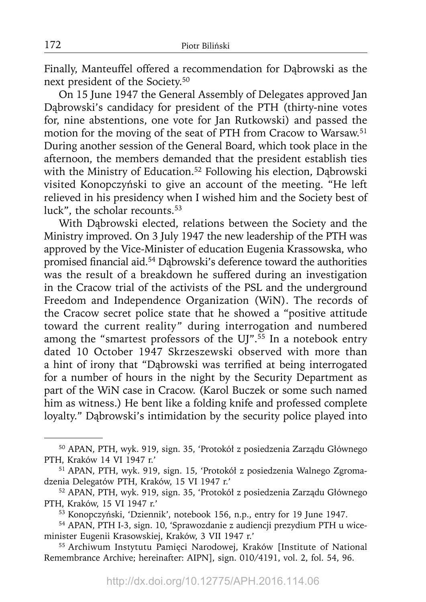Finally, Manteuffel offered a recommendation for Dąbrowski as the next president of the Society.50

On 15 June 1947 the General Assembly of Delegates approved Jan Dąbrowski's candidacy for president of the PTH (thirty-nine votes for, nine abstentions, one vote for Jan Rutkowski) and passed the motion for the moving of the seat of PTH from Cracow to Warsaw.51 During another session of the General Board, which took place in the afternoon, the members demanded that the president establish ties with the Ministry of Education.<sup>52</sup> Following his election, Dabrowski visited Konopczyński to give an account of the meeting. "He left relieved in his presidency when I wished him and the Society best of luck", the scholar recounts.<sup>53</sup>

With Dąbrowski elected, relations between the Society and the Ministry improved. On 3 July 1947 the new leadership of the PTH was approved by the Vice-Minister of education Eugenia Krassowska, who promised financial aid.<sup>54</sup> Dąbrowski's deference toward the authorities was the result of a breakdown he suffered during an investigation in the Cracow trial of the activists of the PSL and the underground Freedom and Independence Organization (WiN). The records of the Cracow secret police state that he showed a "positive attitude toward the current reality" during interrogation and numbered among the "smartest professors of the UJ".<sup>55</sup> In a notebook entry dated 10 October 1947 Skrzeszewski observed with more than a hint of irony that "Dabrowski was terrified at being interrogated for a number of hours in the night by the Security Department as part of the WiN case in Cracow. (Karol Buczek or some such named him as witness.) He bent like a folding knife and professed complete loyalty." Dąbrowski's intimidation by the security police played into

55 Archiwum Instytutu Pamięci Narodowej, Kraków [Institute of National Remembrance Archive; hereinafter: AIPN], sign. 010/4191, vol. 2, fol. 54, 96.

<sup>50</sup> APAN, PTH, wyk. 919, sign. 35, 'Protokół z posiedzenia Zarządu Głównego PTH, Kraków 14 VI 1947 r.'

<sup>51</sup> APAN, PTH, wyk. 919, sign. 15, 'Protokół z posiedzenia Walnego Zgromadzenia Delegatów PTH, Kraków, 15 VI 1947 r.'

<sup>52</sup> APAN, PTH, wyk. 919, sign. 35, 'Protokół z posiedzenia Zarządu Głównego PTH, Kraków, 15 VI 1947 r.'

<sup>53</sup> Konopczyński, 'Dziennik', notebook 156, n.p., entry for 19 June 1947.

<sup>54</sup> APAN, PTH I-3, sign. 10, 'Sprawozdanie z audiencji prezydium PTH u wiceminister Eugenii Krasowskiej, Kraków, 3 VII 1947 r.'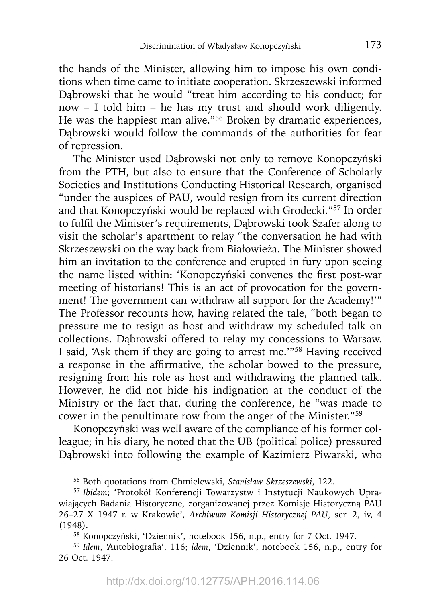the hands of the Minister, allowing him to impose his own conditions when time came to initiate cooperation. Skrzeszewski informed Dąbrowski that he would "treat him according to his conduct; for now – I told him – he has my trust and should work diligently. He was the happiest man alive."56 Broken by dramatic experiences, Dąbrowski would follow the commands of the authorities for fear of repression.

The Minister used Dąbrowski not only to remove Konopczyński from the PTH, but also to ensure that the Conference of Scholarly Societies and Institutions Conducting Historical Research, organised "under the auspices of PAU, would resign from its current direction and that Konopczyński would be replaced with Grodecki."57 In order to fulfil the Minister's requirements, Dabrowski took Szafer along to visit the scholar's apartment to relay "the conversation he had with Skrzeszewski on the way back from Białowieża. The Minister showed him an invitation to the conference and erupted in fury upon seeing the name listed within: 'Konopczyński convenes the first post-war meeting of historians! This is an act of provocation for the government! The government can withdraw all support for the Academy!'" The Professor recounts how, having related the tale, "both began to pressure me to resign as host and withdraw my scheduled talk on collections. Dąbrowski offered to relay my concessions to Warsaw. I said, 'Ask them if they are going to arrest me.'"58 Having received a response in the affirmative, the scholar bowed to the pressure, resigning from his role as host and withdrawing the planned talk. However, he did not hide his indignation at the conduct of the Ministry or the fact that, during the conference, he "was made to cower in the penultimate row from the anger of the Minister."59

Konopczyński was well aware of the compliance of his former colleague; in his diary, he noted that the UB (political police) pressured Dąbrowski into following the example of Kazimierz Piwarski, who

<sup>56</sup> Both quotations from Chmielewski, *Stanisław Skrzeszewski*, 122.

<sup>57</sup> *Ibidem*; 'Protokół Konferencji Towarzystw i Instytucji Naukowych Uprawiających Badania Historyczne, zorganizowanej przez Komisję Historyczną PAU 26–27 X 1947 r. w Krakowie', *Archiwum Komisji Historycznej PAU*, ser. 2, iv, 4 (1948).

<sup>58</sup> Konopczyński, 'Dziennik', notebook 156, n.p., entry for 7 Oct. 1947.

<sup>&</sup>lt;sup>59</sup> Idem, 'Autobiografia', 116; *idem*, 'Dziennik', notebook 156, n.p., entry for 26 Oct. 1947.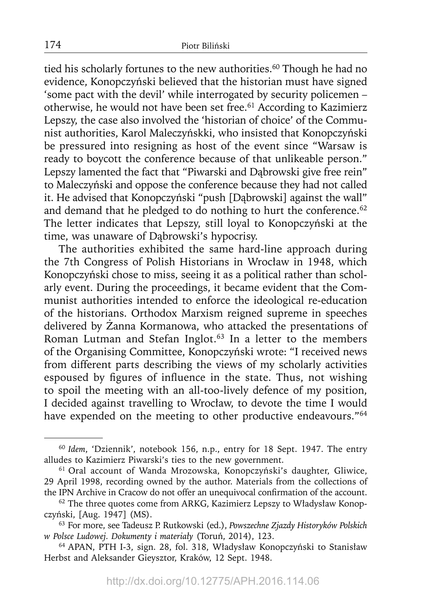tied his scholarly fortunes to the new authorities.<sup>60</sup> Though he had no evidence, Konopczyński believed that the historian must have signed 'some pact with the devil' while interrogated by security policemen – otherwise, he would not have been set free.<sup>61</sup> According to Kazimierz Lepszy, the case also involved the 'historian of choice' of the Communist authorities, Karol Maleczyńskki, who insisted that Konopczyński be pressured into resigning as host of the event since "Warsaw is ready to boycott the conference because of that unlikeable person." Lepszy lamented the fact that "Piwarski and Dąbrowski give free rein" to Maleczyński and oppose the conference because they had not called it. He advised that Konopczyński "push [Dąbrowski] against the wall" and demand that he pledged to do nothing to hurt the conference.<sup>62</sup> The letter indicates that Lepszy, still loyal to Konopczyński at the time, was unaware of Dąbrowski's hypocrisy.

The authorities exhibited the same hard-line approach during the 7th Congress of Polish Historians in Wrocław in 1948, which Konopczyński chose to miss, seeing it as a political rather than scholarly event. During the proceedings, it became evident that the Communist authorities intended to enforce the ideological re-education of the historians. Orthodox Marxism reigned supreme in speeches delivered by Żanna Kormanowa, who attacked the presentations of Roman Lutman and Stefan Inglot.<sup>63</sup> In a letter to the members of the Organising Committee, Konopczyński wrote: "I received news from different parts describing the views of my scholarly activities espoused by figures of influence in the state. Thus, not wishing to spoil the meeting with an all-too-lively defence of my position, I decided against travelling to Wrocław, to devote the time I would have expended on the meeting to other productive endeavours."<sup>64</sup>

<sup>60</sup>*Idem*, 'Dziennik', notebook 156, n.p., entry for 18 Sept. 1947. The entry alludes to Kazimierz Piwarski's ties to the new government.

<sup>61</sup> Oral account of Wanda Mrozowska, Konopczyński's daughter, Gliwice, 29 April 1998, recording owned by the author. Materials from the collections of the IPN Archive in Cracow do not offer an unequivocal confirmation of the account.

<sup>&</sup>lt;sup>62</sup> The three quotes come from ARKG, Kazimierz Lepszy to Władysław Konopczyński, [Aug. 1947] (MS).

<sup>63</sup> For more, see Tadeusz P. Rutkowski (ed.), *Powszechne Zjazdy Historyków Polskich w Polsce Ludowej. Dokumenty i materiały* (Toruń, 2014), 123.

<sup>64</sup> APAN, PTH I-3, sign. 28, fol. 318, Władysław Konopczyński to Stanisław Herbst and Aleksander Gieysztor, Kraków, 12 Sept. 1948.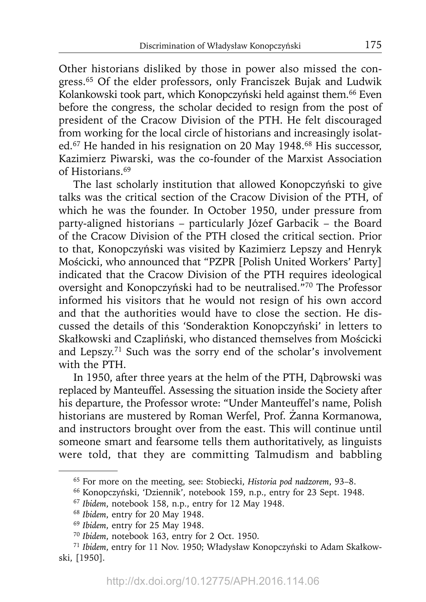Other historians disliked by those in power also missed the congress.65 Of the elder professors, only Franciszek Bujak and Ludwik Kolankowski took part, which Konopczyński held against them.66 Even before the congress, the scholar decided to resign from the post of president of the Cracow Division of the PTH. He felt discouraged from working for the local circle of historians and increasingly isolated.<sup>67</sup> He handed in his resignation on 20 May 1948.<sup>68</sup> His successor, Kazimierz Piwarski, was the co-founder of the Marxist Association of Historians.<sup>69</sup>

The last scholarly institution that allowed Konopczyński to give talks was the critical section of the Cracow Division of the PTH, of which he was the founder. In October 1950, under pressure from party-aligned historians – particularly Józef Garbacik – the Board of the Cracow Division of the PTH closed the critical section. Prior to that, Konopczyński was visited by Kazimierz Lepszy and Henryk Mościcki, who announced that "PZPR [Polish United Workers' Party] indicated that the Cracow Division of the PTH requires ideological oversight and Konopczyński had to be neutralised."70 The Professor informed his visitors that he would not resign of his own accord and that the authorities would have to close the section. He discussed the details of this 'Sonderaktion Konopczyński' in letters to Skałkowski and Czapliński, who distanced themselves from Mościcki and Lepszy.71 Such was the sorry end of the scholar's involvement with the PTH.

In 1950, after three years at the helm of the PTH, Dąbrowski was replaced by Manteuffel. Assessing the situation inside the Society after his departure, the Professor wrote: "Under Manteuffel's name, Polish historians are mustered by Roman Werfel, Prof. Żanna Kormanowa, and instructors brought over from the east. This will continue until someone smart and fearsome tells them authoritatively, as linguists were told, that they are committing Talmudism and babbling

<sup>65</sup> For more on the meeting, see: Stobiecki, *Historia pod nadzorem*, 93–8.

<sup>66</sup> Konopczyński, 'Dziennik', notebook 159, n.p., entry for 23 Sept. 1948.

<sup>67</sup>*Ibidem*, notebook 158, n.p., entry for 12 May 1948.

<sup>68</sup>*Ibidem*, entry for 20 May 1948.

<sup>69</sup>*Ibidem*, entry for 25 May 1948.

<sup>70</sup>*Ibidem*, notebook 163, entry for 2 Oct. 1950.

<sup>71</sup> *Ibidem*, entry for 11 Nov. 1950; Władysław Konopczyński to Adam Skałkowski, [1950].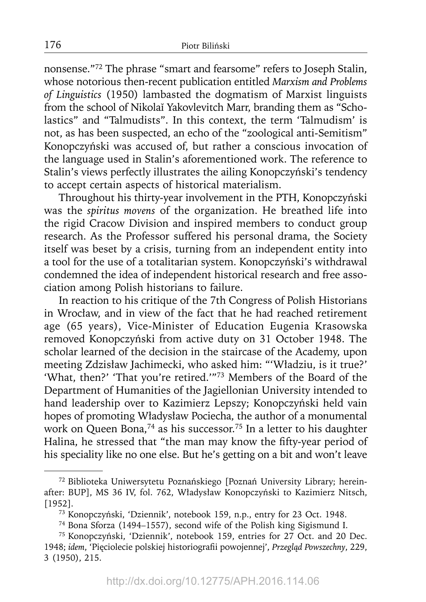nonsense."72 The phrase "smart and fearsome" refers to Joseph Stalin, whose notorious then-recent publication entitled *Marxism and Problems of Linguistics* (1950) lambasted the dogmatism of Marxist linguists from the school of Nikolaĭ Yakovlevitch Marr, branding them as "Scholastics" and "Talmudists". In this context, the term 'Talmudism' is not, as has been suspected, an echo of the "zoological anti-Semitism" Konopczyński was accused of, but rather a conscious invocation of the language used in Stalin's aforementioned work. The reference to Stalin's views perfectly illustrates the ailing Konopczyński's tendency to accept certain aspects of historical materialism.

Throughout his thirty-year involvement in the PTH, Konopczyński was the *spiritus movens* of the organization. He breathed life into the rigid Cracow Division and inspired members to conduct group research. As the Professor suffered his personal drama, the Society itself was beset by a crisis, turning from an independent entity into a tool for the use of a totalitarian system. Konopczyński's withdrawal condemned the idea of independent historical research and free association among Polish historians to failure.

In reaction to his critique of the 7th Congress of Polish Historians in Wrocław, and in view of the fact that he had reached retirement age (65 years), Vice-Minister of Education Eugenia Krasowska removed Konopczyński from active duty on 31 October 1948. The scholar learned of the decision in the staircase of the Academy, upon meeting Zdzisław Jachimecki, who asked him: "'Władziu, is it true?' 'What, then?' 'That you're retired.'"73 Members of the Board of the Department of Humanities of the Jagiellonian University intended to hand leadership over to Kazimierz Lepszy; Konopczyński held vain hopes of promoting Władysław Pociecha, the author of a monumental work on Queen Bona,<sup>74</sup> as his successor.<sup>75</sup> In a letter to his daughter Halina, he stressed that "the man may know the fifty-year period of his speciality like no one else. But he's getting on a bit and won't leave

<sup>72</sup> Biblioteka Uniwersytetu Poznańskiego [Poznań University Library; hereinafter: BUP], MS 36 IV, fol. 762, Władysław Konopczyński to Kazimierz Nitsch, [1952].

<sup>73</sup> Konopczyński, 'Dziennik', notebook 159, n.p., entry for 23 Oct. 1948.

<sup>74</sup> Bona Sforza (1494–1557), second wife of the Polish king Sigismund I.

<sup>75</sup> Konopczyński, 'Dziennik', notebook 159, entries for 27 Oct. and 20 Dec. 1948; *idem*, 'Pięciolecie polskiej historiografi i powojennej', *Przegląd Powszechny*, 229, 3 (1950), 215.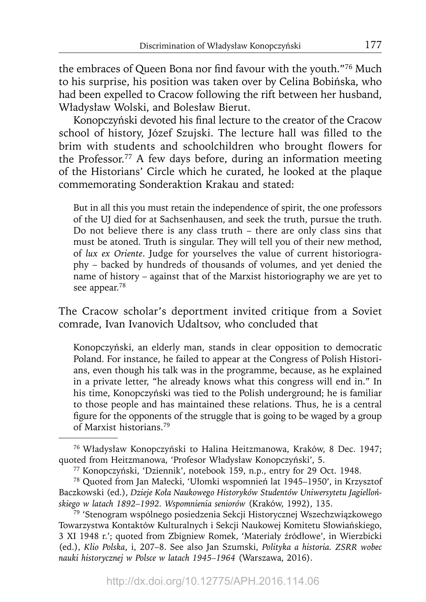the embraces of Queen Bona nor find favour with the youth."<sup>76</sup> Much to his surprise, his position was taken over by Celina Bobińska, who had been expelled to Cracow following the rift between her husband, Władysław Wolski, and Bolesław Bierut.

Konopczyński devoted his final lecture to the creator of the Cracow school of history, Józef Szujski. The lecture hall was filled to the brim with students and schoolchildren who brought flowers for the Professor.77 A few days before, during an information meeting of the Historians' Circle which he curated, he looked at the plaque commemorating Sonderaktion Krakau and stated:

But in all this you must retain the independence of spirit, the one professors of the UJ died for at Sachsenhausen, and seek the truth, pursue the truth. Do not believe there is any class truth – there are only class sins that must be atoned. Truth is singular. They will tell you of their new method, of *lux ex Oriente*. Judge for yourselves the value of current historiography – backed by hundreds of thousands of volumes, and yet denied the name of history – against that of the Marxist historiography we are yet to see appear.<sup>78</sup>

The Cracow scholar's deportment invited critique from a Soviet comrade, Ivan Ivanovich Udaltsov, who concluded that

Konopczyński, an elderly man, stands in clear opposition to democratic Poland. For instance, he failed to appear at the Congress of Polish Historians, even though his talk was in the programme, because, as he explained in a private letter, "he already knows what this congress will end in." In his time, Konopczyński was tied to the Polish underground; he is familiar to those people and has maintained these relations. Thus, he is a central figure for the opponents of the struggle that is going to be waged by a group of Marxist historians.79

<sup>76</sup> Władysław Konopczyński to Halina Heitzmanowa, Kraków, 8 Dec. 1947; quoted from Heitzmanowa, 'Profesor Władysław Konopczyński', 5.

<sup>77</sup> Konopczyński, 'Dziennik', notebook 159, n.p., entry for 29 Oct. 1948.

<sup>78</sup> Quoted from Jan Małecki, 'Ułomki wspomnień lat 1945–1950', in Krzysztof Baczkowski (ed.), *Dzieje Koła Naukowego Historyków Studentów Uniwersytetu Jagiellońskiego w latach 1892–1992. Wspomnienia seniorów* (Kraków, 1992), 135.

<sup>79 &#</sup>x27;Stenogram wspólnego posiedzenia Sekcji Historycznej Wszechzwiązkowego Towarzystwa Kontaktów Kulturalnych i Sekcji Naukowej Komitetu Słowiańskiego, 3 XI 1948 r.'; quoted from Zbigniew Romek, 'Materiały źródłowe', in Wierzbicki (ed.), *Klio Polska*, i, 207–8. See also Jan Szumski, *Polityka a historia. ZSRR wobec nauki historycznej w Polsce w latach 1945–1964* (Warszawa, 2016).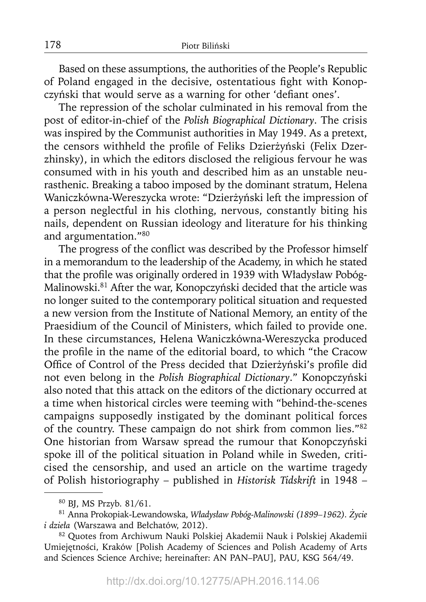Based on these assumptions, the authorities of the People's Republic of Poland engaged in the decisive, ostentatious fight with Konopczyński that would serve as a warning for other 'defiant ones'.

The repression of the scholar culminated in his removal from the post of editor-in-chief of the *Polish Biographical Dictionary*. The crisis was inspired by the Communist authorities in May 1949. As a pretext, the censors withheld the profile of Feliks Dzierżyński (Felix Dzerzhinsky), in which the editors disclosed the religious fervour he was consumed with in his youth and described him as an unstable neurasthenic. Breaking a taboo imposed by the dominant stratum, Helena Waniczkówna-Wereszycka wrote: "Dzierżyński left the impression of a person neglectful in his clothing, nervous, constantly biting his nails, dependent on Russian ideology and literature for his thinking and argumentation."80

The progress of the conflict was described by the Professor himself in a memorandum to the leadership of the Academy, in which he stated that the profile was originally ordered in 1939 with Władysław Pobóg-Malinowski.81 After the war, Konopczyński decided that the article was no longer suited to the contemporary political situation and requested a new version from the Institute of National Memory, an entity of the Praesidium of the Council of Ministers, which failed to provide one. In these circumstances, Helena Waniczkówna-Wereszycka produced the profile in the name of the editorial board, to which "the Cracow Office of Control of the Press decided that Dzierżyński's profile did not even belong in the *Polish Biographical Dictionary*." Konopczyński also noted that this attack on the editors of the dictionary occurred at a time when historical circles were teeming with "behind-the-scenes campaigns supposedly instigated by the dominant political forces of the country. These campaign do not shirk from common lies."82 One historian from Warsaw spread the rumour that Konopczyński spoke ill of the political situation in Poland while in Sweden, criticised the censorship, and used an article on the wartime tragedy of Polish historiography – published in *Historisk Tidskrift* in 1948 –

<sup>80</sup> BJ, MS Przyb. 81/61.

<sup>81</sup> Anna Prokopiak-Lewandowska, *Władysław Pobóg-Malinowski (1899–1962). Życie i dzieła* (Warszawa and Bełchatów, 2012).

<sup>82</sup> Quotes from Archiwum Nauki Polskiej Akademii Nauk i Polskiej Akademii Umiejętności, Kraków [Polish Academy of Sciences and Polish Academy of Arts and Sciences Science Archive; hereinafter: AN PAN–PAU], PAU, KSG 564/49.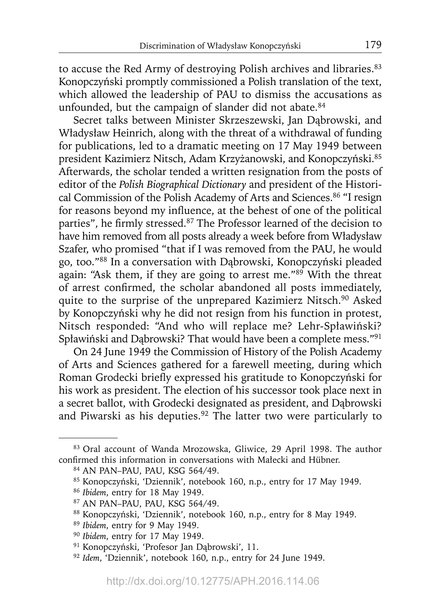to accuse the Red Army of destroying Polish archives and libraries.<sup>83</sup> Konopczyński promptly commissioned a Polish translation of the text, which allowed the leadership of PAU to dismiss the accusations as unfounded, but the campaign of slander did not abate.<sup>84</sup>

Secret talks between Minister Skrzeszewski, Jan Dąbrowski, and Władysław Heinrich, along with the threat of a withdrawal of funding for publications, led to a dramatic meeting on 17 May 1949 between president Kazimierz Nitsch, Adam Krzyżanowski, and Konopczyński.85 Afterwards, the scholar tended a written resignation from the posts of editor of the *Polish Biographical Dictionary* and president of the Historical Commission of the Polish Academy of Arts and Sciences.<sup>86</sup> "I resign for reasons beyond my influence, at the behest of one of the political parties", he firmly stressed.<sup>87</sup> The Professor learned of the decision to have him removed from all posts already a week before from Władysław Szafer, who promised "that if I was removed from the PAU, he would go, too."88 In a conversation with Dąbrowski, Konopczyński pleaded again: "Ask them, if they are going to arrest me."<sup>89</sup> With the threat of arrest confirmed, the scholar abandoned all posts immediately, quite to the surprise of the unprepared Kazimierz Nitsch.<sup>90</sup> Asked by Konopczyński why he did not resign from his function in protest, Nitsch responded: "And who will replace me? Lehr-Spławiński? Spławiński and Dąbrowski? That would have been a complete mess."91

On 24 June 1949 the Commission of History of the Polish Academy of Arts and Sciences gathered for a farewell meeting, during which Roman Grodecki briefly expressed his gratitude to Konopczyński for his work as president. The election of his successor took place next in a secret ballot, with Grodecki designated as president, and Dąbrowski and Piwarski as his deputies.<sup>92</sup> The latter two were particularly to

- 85 Konopczyński, 'Dziennik', notebook 160, n.p., entry for 17 May 1949.
- <sup>86</sup>*Ibidem*, entry for 18 May 1949.
- 87 AN PAN–PAU, PAU, KSG 564/49.
- 88 Konopczyński, 'Dziennik', notebook 160, n.p., entry for 8 May 1949.
- <sup>89</sup>*Ibidem*, entry for 9 May 1949.
- <sup>90</sup>*Ibidem*, entry for 17 May 1949.
- 91 Konopczyński, 'Profesor Jan Dąbrowski', 11.
- <sup>92</sup>*Idem*, 'Dziennik', notebook 160, n.p., entry for 24 June 1949.

<sup>83</sup> Oral account of Wanda Mrozowska, Gliwice, 29 April 1998. The author confirmed this information in conversations with Małecki and Hübner.

<sup>84</sup> AN PAN–PAU, PAU, KSG 564/49.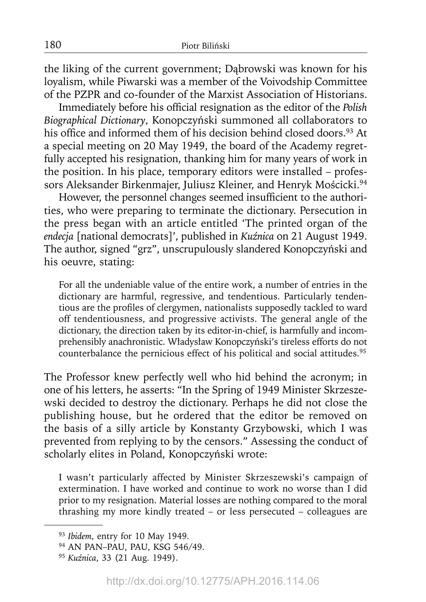the liking of the current government; Dąbrowski was known for his loyalism, while Piwarski was a member of the Voivodship Committee of the PZPR and co-founder of the Marxist Association of Historians.

Immediately before his official resignation as the editor of the *Polish Biographical Dictionary*, Konopczyński summoned all collaborators to his office and informed them of his decision behind closed doors.<sup>93</sup> At a special meeting on 20 May 1949, the board of the Academy regretfully accepted his resignation, thanking him for many years of work in the position. In his place, temporary editors were installed – professors Aleksander Birkenmajer, Juliusz Kleiner, and Henryk Mościcki.<sup>94</sup>

However, the personnel changes seemed insufficient to the authorities, who were preparing to terminate the dictionary. Persecution in the press began with an article entitled 'The printed organ of the *endecja* [national democrats]', published in *Kuźnica* on 21 August 1949. The author, signed "grz", unscrupulously slandered Konopczyński and his oeuvre, stating:

For all the undeniable value of the entire work, a number of entries in the dictionary are harmful, regressive, and tendentious. Particularly tendentious are the profiles of clergymen, nationalists supposedly tackled to ward off tendentiousness, and progressive activists. The general angle of the dictionary, the direction taken by its editor-in-chief, is harmfully and incomprehensibly anachronistic. Władysław Konopczyński's tireless efforts do not counterbalance the pernicious effect of his political and social attitudes.<sup>95</sup>

The Professor knew perfectly well who hid behind the acronym; in one of his letters, he asserts: "In the Spring of 1949 Minister Skrzeszewski decided to destroy the dictionary. Perhaps he did not close the publishing house, but he ordered that the editor be removed on the basis of a silly article by Konstanty Grzybowski, which I was prevented from replying to by the censors." Assessing the conduct of scholarly elites in Poland, Konopczyński wrote:

I wasn't particularly affected by Minister Skrzeszewski's campaign of extermination. I have worked and continue to work no worse than I did prior to my resignation. Material losses are nothing compared to the moral thrashing my more kindly treated – or less persecuted – colleagues are

<sup>93</sup>*Ibidem*, entry for 10 May 1949.

<sup>94</sup> AN PAN–PAU, PAU, KSG 546/49.

<sup>95</sup>*Kuźnica*, 33 (21 Aug. 1949).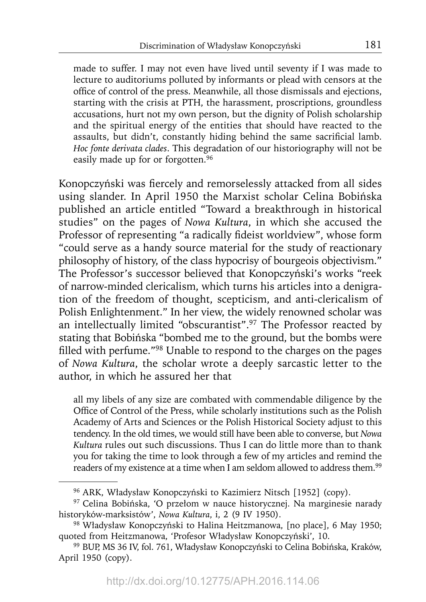made to suffer. I may not even have lived until seventy if I was made to lecture to auditoriums polluted by informants or plead with censors at the office of control of the press. Meanwhile, all those dismissals and ejections, starting with the crisis at PTH, the harassment, proscriptions, groundless accusations, hurt not my own person, but the dignity of Polish scholarship and the spiritual energy of the entities that should have reacted to the assaults, but didn't, constantly hiding behind the same sacrificial lamb. *Hoc fonte derivata clades*. This degradation of our historiography will not be easily made up for or forgotten.<sup>96</sup>

Konopczyński was fiercely and remorselessly attacked from all sides using slander. In April 1950 the Marxist scholar Celina Bobińska published an article entitled "Toward a breakthrough in historical studies" on the pages of *Nowa Kultura*, in which she accused the Professor of representing "a radically fideist worldview", whose form "could serve as a handy source material for the study of reactionary philosophy of history, of the class hypocrisy of bourgeois objectivism." The Professor's successor believed that Konopczyński's works "reek of narrow-minded clericalism, which turns his articles into a denigration of the freedom of thought, scepticism, and anti-clericalism of Polish Enlightenment." In her view, the widely renowned scholar was an intellectually limited "obscurantist".97 The Professor reacted by stating that Bobińska "bombed me to the ground, but the bombs were filled with perfume." $98$  Unable to respond to the charges on the pages of *Nowa Kultura*, the scholar wrote a deeply sarcastic letter to the author, in which he assured her that

all my libels of any size are combated with commendable diligence by the Office of Control of the Press, while scholarly institutions such as the Polish Academy of Arts and Sciences or the Polish Historical Society adjust to this tendency. In the old times, we would still have been able to converse, but *Nowa Kultura* rules out such discussions. Thus I can do little more than to thank you for taking the time to look through a few of my articles and remind the readers of my existence at a time when I am seldom allowed to address them.<sup>99</sup>

<sup>96</sup> ARK, Władysław Konopczyński to Kazimierz Nitsch [1952] (copy).

<sup>97</sup> Celina Bobińska, 'O przełom w nauce historycznej. Na marginesie narady historyków-marksistów', *Nowa Kultura*, i, 2 (9 IV 1950).

<sup>98</sup> Władysław Konopczyński to Halina Heitzmanowa, [no place], 6 May 1950; quoted from Heitzmanowa, 'Profesor Władysław Konopczyński', 10.

<sup>99</sup> BUP, MS 36 IV, fol. 761, Władysław Konopczyński to Celina Bobińska, Kraków, April 1950 (copy).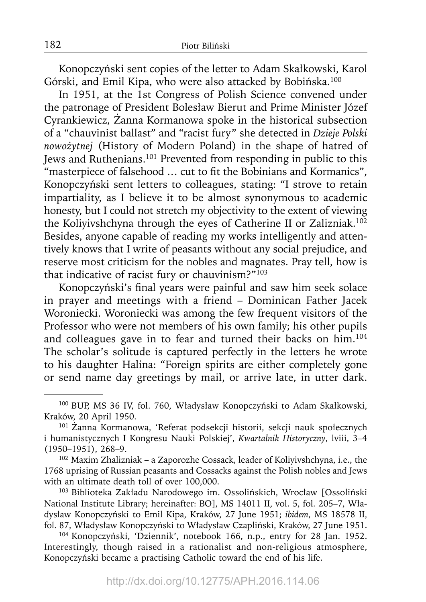Konopczyński sent copies of the letter to Adam Skałkowski, Karol Górski, and Emil Kipa, who were also attacked by Bobińska.<sup>100</sup>

In 1951, at the 1st Congress of Polish Science convened under the patronage of President Bolesław Bierut and Prime Minister Józef Cyrankiewicz, Żanna Kormanowa spoke in the historical subsection of a "chauvinist ballast" and "racist fury" she detected in *Dzieje Polski nowożytnej* (History of Modern Poland) in the shape of hatred of Jews and Ruthenians.101 Prevented from responding in public to this "masterpiece of falsehood ... cut to fit the Bobinians and Kormanics", Konopczyński sent letters to colleagues, stating: "I strove to retain impartiality, as I believe it to be almost synonymous to academic honesty, but I could not stretch my objectivity to the extent of viewing the Koliyivshchyna through the eyes of Catherine II or Zalizniak.<sup>102</sup> Besides, anyone capable of reading my works intelligently and attentively knows that I write of peasants without any social prejudice, and reserve most criticism for the nobles and magnates. Pray tell, how is that indicative of racist fury or chauvinism?"<sup>103</sup>

Konopczyński's final years were painful and saw him seek solace in prayer and meetings with a friend – Dominican Father Jacek Woroniecki. Woroniecki was among the few frequent visitors of the Professor who were not members of his own family; his other pupils and colleagues gave in to fear and turned their backs on him.<sup>104</sup> The scholar's solitude is captured perfectly in the letters he wrote to his daughter Halina: "Foreign spirits are either completely gone or send name day greetings by mail, or arrive late, in utter dark.

<sup>100</sup> BUP, MS 36 IV, fol. 760, Władysław Konopczyński to Adam Skałkowski, Kraków, 20 April 1950.

<sup>101</sup>Żanna Kormanowa, 'Referat podsekcji historii, sekcji nauk społecznych i humanistycznych I Kongresu Nauki Polskiej', *Kwartalnik Historyczny*, lviii, 3–4 (1950–1951), 268–9.

<sup>102</sup> Maxim Zhalizniak – a Zaporozhe Cossack, leader of Koliyivshchyna, i.e., the 1768 uprising of Russian peasants and Cossacks against the Polish nobles and Jews with an ultimate death toll of over 100,000.

<sup>103</sup> Biblioteka Zakładu Narodowego im. Ossolińskich, Wrocław [Ossoliński National Institute Library; hereinafter: BO], MS 14011 II, vol. 5, fol. 205–7, Władysław Konopczyński to Emil Kipa, Kraków, 27 June 1951; *ibidem*, MS 18578 II, fol. 87, Władysław Konopczyński to Władysław Czapliński, Kraków, 27 June 1951.

<sup>104</sup> Konopczyński, 'Dziennik', notebook 166, n.p., entry for 28 Jan. 1952. Interestingly, though raised in a rationalist and non-religious atmosphere, Konopczyński became a practising Catholic toward the end of his life.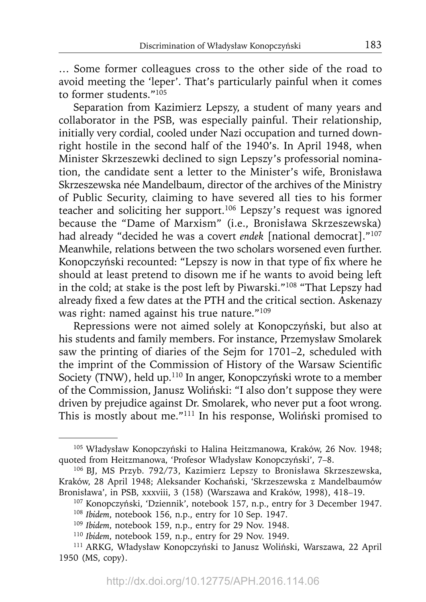… Some former colleagues cross to the other side of the road to avoid meeting the 'leper'. That's particularly painful when it comes to former students."<sup>105</sup>

Separation from Kazimierz Lepszy, a student of many years and collaborator in the PSB, was especially painful. Their relationship, initially very cordial, cooled under Nazi occupation and turned downright hostile in the second half of the 1940's. In April 1948, when Minister Skrzeszewki declined to sign Lepszy's professorial nomination, the candidate sent a letter to the Minister's wife, Bronisława Skrzeszewska née Mandelbaum, director of the archives of the Ministry of Public Security, claiming to have severed all ties to his former teacher and soliciting her support.106 Lepszy's request was ignored because the "Dame of Marxism" (i.e., Bronisława Skrzeszewska) had already "decided he was a covert *endek* [national democrat]."107 Meanwhile, relations between the two scholars worsened even further. Konopczyński recounted: "Lepszy is now in that type of fix where he should at least pretend to disown me if he wants to avoid being left in the cold; at stake is the post left by Piwarski."108 "That Lepszy had already fixed a few dates at the PTH and the critical section. Askenazy was right: named against his true nature."109

Repressions were not aimed solely at Konopczyński, but also at his students and family members. For instance, Przemysław Smolarek saw the printing of diaries of the Sejm for 1701–2, scheduled with the imprint of the Commission of History of the Warsaw Scientific Society (TNW), held up.<sup>110</sup> In anger, Konopczyński wrote to a member of the Commission, Janusz Woliński: "I also don't suppose they were driven by prejudice against Dr. Smolarek, who never put a foot wrong. This is mostly about me."111 In his response, Woliński promised to

<sup>105</sup> Władysław Konopczyński to Halina Heitzmanowa, Kraków, 26 Nov. 1948; quoted from Heitzmanowa, 'Profesor Władysław Konopczyński', 7–8.

<sup>106</sup> BJ, MS Przyb. 792/73, Kazimierz Lepszy to Bronisława Skrzeszewska, Kraków, 28 April 1948; Aleksander Kochański, 'Skrzeszewska z Mandelbaumów Bronisława', in PSB, xxxviii, 3 (158) (Warszawa and Kraków, 1998), 418–19.

<sup>107</sup> Konopczyński, 'Dziennik', notebook 157, n.p., entry for 3 December 1947. <sup>108</sup>*Ibidem*, notebook 156, n.p., entry for 10 Sep. 1947.

<sup>109</sup>*Ibidem*, notebook 159, n.p., entry for 29 Nov. 1948.

<sup>110</sup>*Ibidem*, notebook 159, n.p., entry for 29 Nov. 1949.

<sup>111</sup> ARKG, Władysław Konopczyński to Janusz Woliński, Warszawa, 22 April 1950 (MS, copy).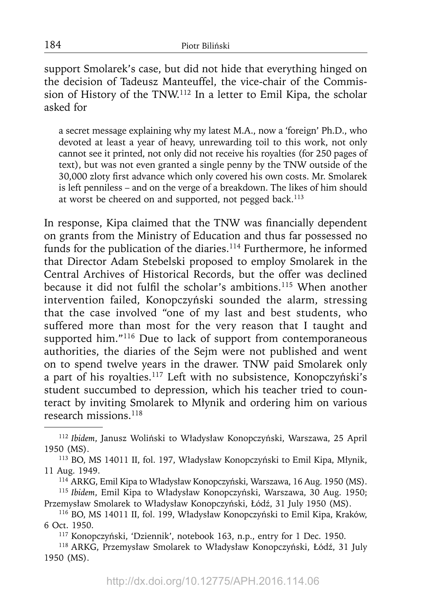support Smolarek's case, but did not hide that everything hinged on the decision of Tadeusz Manteuffel, the vice-chair of the Commission of History of the TNW.112 In a letter to Emil Kipa, the scholar asked for

a secret message explaining why my latest M.A., now a 'foreign' Ph.D., who devoted at least a year of heavy, unrewarding toil to this work, not only cannot see it printed, not only did not receive his royalties (for 250 pages of text), but was not even granted a single penny by the TNW outside of the 30,000 zloty first advance which only covered his own costs. Mr. Smolarek is left penniless – and on the verge of a breakdown. The likes of him should at worst be cheered on and supported, not pegged back.<sup>113</sup>

In response, Kipa claimed that the TNW was financially dependent on grants from the Ministry of Education and thus far possessed no funds for the publication of the diaries.<sup>114</sup> Furthermore, he informed that Director Adam Stebelski proposed to employ Smolarek in the Central Archives of Historical Records, but the offer was declined because it did not fulfil the scholar's ambitions.<sup>115</sup> When another intervention failed, Konopczyński sounded the alarm, stressing that the case involved "one of my last and best students, who suffered more than most for the very reason that I taught and supported him."<sup>116</sup> Due to lack of support from contemporaneous authorities, the diaries of the Sejm were not published and went on to spend twelve years in the drawer. TNW paid Smolarek only a part of his royalties.117 Left with no subsistence, Konopczyński's student succumbed to depression, which his teacher tried to counteract by inviting Smolarek to Młynik and ordering him on various research missions.118

114 ARKG, Emil Kipa to Władysław Konopczyński, Warszawa, 16 Aug. 1950 (MS).

117 Konopczyński, 'Dziennik', notebook 163, n.p., entry for 1 Dec. 1950.

<sup>112</sup>*Ibidem*, Janusz Woliński to Władysław Konopczyński, Warszawa, 25 April 1950 (MS).

<sup>113</sup> BO, MS 14011 II, fol. 197, Władysław Konopczyński to Emil Kipa, Młynik, 11 Aug. 1949.

<sup>115</sup>*Ibidem*, Emil Kipa to Władysław Konopczyński, Warszawa, 30 Aug. 1950; Przemysław Smolarek to Władysław Konopczyński, Łódź, 31 July 1950 (MS).

<sup>116</sup> BO, MS 14011 II, fol. 199, Władysław Konopczyński to Emil Kipa, Kraków, 6 Oct. 1950.

<sup>118</sup> ARKG, Przemysław Smolarek to Władysław Konopczyński, Łódź, 31 July 1950 (MS).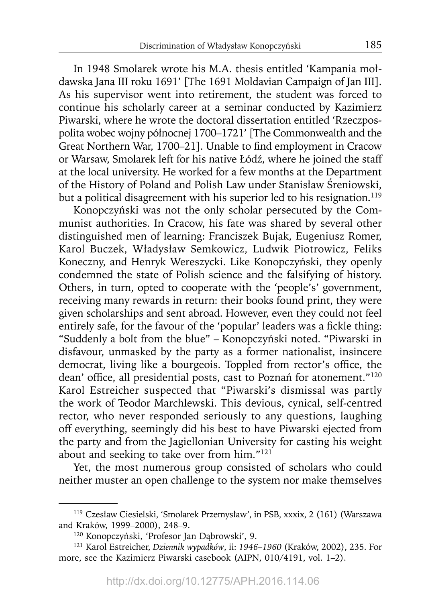In 1948 Smolarek wrote his M.A. thesis entitled 'Kampania mołdawska Jana III roku 1691' [The 1691 Moldavian Campaign of Jan III]. As his supervisor went into retirement, the student was forced to continue his scholarly career at a seminar conducted by Kazimierz Piwarski, where he wrote the doctoral dissertation entitled 'Rzeczpospolita wobec wojny północnej 1700–1721' [The Commonwealth and the Great Northern War, 1700-21]. Unable to find employment in Cracow or Warsaw, Smolarek left for his native Łódź, where he joined the staff at the local university. He worked for a few months at the Department of the History of Poland and Polish Law under Stanisław Śreniowski, but a political disagreement with his superior led to his resignation.<sup>119</sup>

Konopczyński was not the only scholar persecuted by the Communist authorities. In Cracow, his fate was shared by several other distinguished men of learning: Franciszek Bujak, Eugeniusz Romer, Karol Buczek, Władysław Semkowicz, Ludwik Piotrowicz, Feliks Koneczny, and Henryk Wereszycki. Like Konopczyński, they openly condemned the state of Polish science and the falsifying of history. Others, in turn, opted to cooperate with the 'people's' government, receiving many rewards in return: their books found print, they were given scholarships and sent abroad. However, even they could not feel entirely safe, for the favour of the 'popular' leaders was a fickle thing: "Suddenly a bolt from the blue" – Konopczyński noted. "Piwarski in disfavour, unmasked by the party as a former nationalist, insincere democrat, living like a bourgeois. Toppled from rector's office, the dean' office, all presidential posts, cast to Poznań for atonement."<sup>120</sup> Karol Estreicher suspected that "Piwarski's dismissal was partly the work of Teodor Marchlewski. This devious, cynical, self-centred rector, who never responded seriously to any questions, laughing off everything, seemingly did his best to have Piwarski ejected from the party and from the Jagiellonian University for casting his weight about and seeking to take over from him."121

Yet, the most numerous group consisted of scholars who could neither muster an open challenge to the system nor make themselves

<sup>119</sup> Czesław Ciesielski, 'Smolarek Przemysław', in PSB, xxxix, 2 (161) (Warszawa and Kraków, 1999–2000), 248–9.

<sup>120</sup> Konopczyński, 'Profesor Jan Dąbrowski', 9.

<sup>121</sup> Karol Estreicher, *Dziennik wypadków*, ii: *1946–1960* (Kraków, 2002), 235. For more, see the Kazimierz Piwarski casebook (AIPN, 010/4191, vol. 1–2).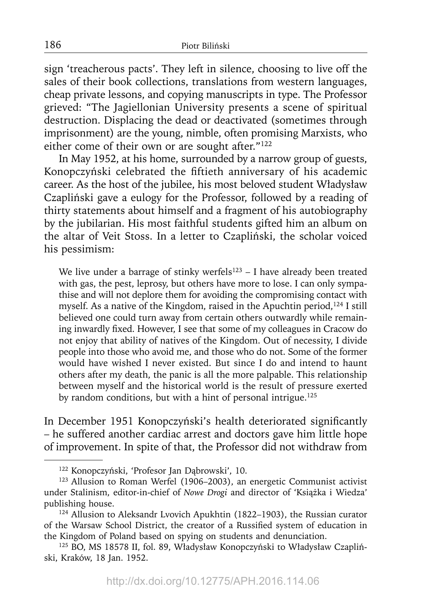sign 'treacherous pacts'. They left in silence, choosing to live off the sales of their book collections, translations from western languages, cheap private lessons, and copying manuscripts in type. The Professor grieved: "The Jagiellonian University presents a scene of spiritual destruction. Displacing the dead or deactivated (sometimes through imprisonment) are the young, nimble, often promising Marxists, who either come of their own or are sought after."<sup>122</sup>

In May 1952, at his home, surrounded by a narrow group of guests, Konopczyński celebrated the fiftieth anniversary of his academic career. As the host of the jubilee, his most beloved student Władysław Czapliński gave a eulogy for the Professor, followed by a reading of thirty statements about himself and a fragment of his autobiography by the jubilarian. His most faithful students gifted him an album on the altar of Veit Stoss. In a letter to Czapliński, the scholar voiced his pessimism:

We live under a barrage of stinky werfels<sup>123</sup> – I have already been treated with gas, the pest, leprosy, but others have more to lose. I can only sympathise and will not deplore them for avoiding the compromising contact with myself. As a native of the Kingdom, raised in the Apuchtin period,  $124$  I still believed one could turn away from certain others outwardly while remaining inwardly fixed. However, I see that some of my colleagues in Cracow do not enjoy that ability of natives of the Kingdom. Out of necessity, I divide people into those who avoid me, and those who do not. Some of the former would have wished I never existed. But since I do and intend to haunt others after my death, the panic is all the more palpable. This relationship between myself and the historical world is the result of pressure exerted by random conditions, but with a hint of personal intrigue.<sup>125</sup>

In December 1951 Konopczyński's health deteriorated significantly – he suffered another cardiac arrest and doctors gave him little hope of improvement. In spite of that, the Professor did not withdraw from

<sup>122</sup> Konopczyński, 'Profesor Jan Dąbrowski', 10.

<sup>&</sup>lt;sup>123</sup> Allusion to Roman Werfel (1906–2003), an energetic Communist activist under Stalinism, editor-in-chief of *Nowe Drogi* and director of 'Książka i Wiedza' publishing house.

<sup>&</sup>lt;sup>124</sup> Allusion to Aleksandr Lvovich Apukhtin (1822-1903), the Russian curator of the Warsaw School District, the creator of a Russified system of education in the Kingdom of Poland based on spying on students and denunciation.

<sup>125</sup> BO, MS 18578 II, fol. 89, Władysław Konopczyński to Władysław Czapliński, Kraków, 18 Jan. 1952.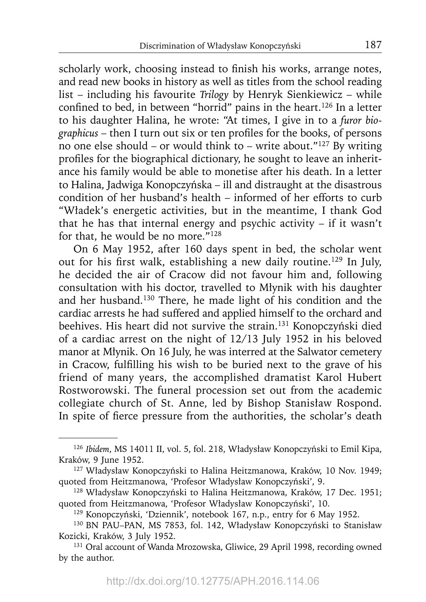scholarly work, choosing instead to finish his works, arrange notes, and read new books in history as well as titles from the school reading list – including his favourite *Trilogy* by Henryk Sienkiewicz – while confined to bed, in between "horrid" pains in the heart.<sup>126</sup> In a letter to his daughter Halina, he wrote: "At times, I give in to a *furor bio*graphicus – then I turn out six or ten profiles for the books, of persons no one else should – or would think to – write about." $127$  By writing profiles for the biographical dictionary, he sought to leave an inheritance his family would be able to monetise after his death. In a letter to Halina, Jadwiga Konopczyńska – ill and distraught at the disastrous condition of her husband's health – informed of her efforts to curb "Władek's energetic activities, but in the meantime, I thank God that he has that internal energy and psychic activity – if it wasn't for that, he would be no more."128

On 6 May 1952, after 160 days spent in bed, the scholar went out for his first walk, establishing a new daily routine.<sup>129</sup> In July, he decided the air of Cracow did not favour him and, following consultation with his doctor, travelled to Młynik with his daughter and her husband.130 There, he made light of his condition and the cardiac arrests he had suffered and applied himself to the orchard and beehives. His heart did not survive the strain.131 Konopczyński died of a cardiac arrest on the night of 12/13 July 1952 in his beloved manor at Młynik. On 16 July, he was interred at the Salwator cemetery in Cracow, fulfilling his wish to be buried next to the grave of his friend of many years, the accomplished dramatist Karol Hubert Rostworowski. The funeral procession set out from the academic collegiate church of St. Anne, led by Bishop Stanisław Rospond. In spite of fierce pressure from the authorities, the scholar's death

<sup>126</sup>*Ibidem*, MS 14011 II, vol. 5, fol. 218, Władysław Konopczyński to Emil Kipa, Kraków, 9 June 1952.

<sup>127</sup> Władysław Konopczyński to Halina Heitzmanowa, Kraków, 10 Nov. 1949; quoted from Heitzmanowa, 'Profesor Władysław Konopczyński', 9.

<sup>128</sup> Władysław Konopczyński to Halina Heitzmanowa, Kraków, 17 Dec. 1951; quoted from Heitzmanowa, 'Profesor Władysław Konopczyński', 10.

<sup>129</sup> Konopczyński, 'Dziennik', notebook 167, n.p., entry for 6 May 1952.

<sup>130</sup> BN PAU–PAN, MS 7853, fol. 142, Władysław Konopczyński to Stanisław Kozicki, Kraków, 3 July 1952.

<sup>131</sup> Oral account of Wanda Mrozowska, Gliwice, 29 April 1998, recording owned by the author.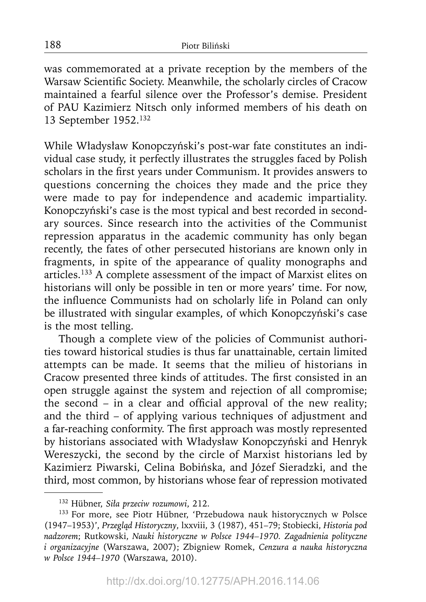was commemorated at a private reception by the members of the Warsaw Scientific Society. Meanwhile, the scholarly circles of Cracow maintained a fearful silence over the Professor's demise. President of PAU Kazimierz Nitsch only informed members of his death on 13 September 1952.132

While Władysław Konopczyński's post-war fate constitutes an individual case study, it perfectly illustrates the struggles faced by Polish scholars in the first years under Communism. It provides answers to questions concerning the choices they made and the price they were made to pay for independence and academic impartiality. Konopczyński's case is the most typical and best recorded in secondary sources. Since research into the activities of the Communist repression apparatus in the academic community has only began recently, the fates of other persecuted historians are known only in fragments, in spite of the appearance of quality monographs and articles.133 A complete assessment of the impact of Marxist elites on historians will only be possible in ten or more years' time. For now, the influence Communists had on scholarly life in Poland can only be illustrated with singular examples, of which Konopczyński's case is the most telling.

Though a complete view of the policies of Communist authorities toward historical studies is thus far unattainable, certain limited attempts can be made. It seems that the milieu of historians in Cracow presented three kinds of attitudes. The first consisted in an open struggle against the system and rejection of all compromise; the second  $-$  in a clear and official approval of the new reality; and the third – of applying various techniques of adjustment and a far-reaching conformity. The first approach was mostly represented by historians associated with Władysław Konopczyński and Henryk Wereszycki, the second by the circle of Marxist historians led by Kazimierz Piwarski, Celina Bobińska, and Józef Sieradzki, and the third, most common, by historians whose fear of repression motivated

<sup>132</sup> Hübner, *Siła przeciw rozumowi*, 212.

<sup>133</sup> For more, see Piotr Hübner, 'Przebudowa nauk historycznych w Polsce (1947–1953)', *Przegląd Historyczny*, lxxviii, 3 (1987), 451–79; Stobiecki, *Historia pod nadzorem*; Rutkowski, *Nauki historyczne w Polsce 1944–1970. Zagadnienia polityczne i organizacyjne* (Warszawa, 2007); Zbigniew Romek, *Cenzura a nauka historyczna w Polsce 1944–1970* (Warszawa, 2010).